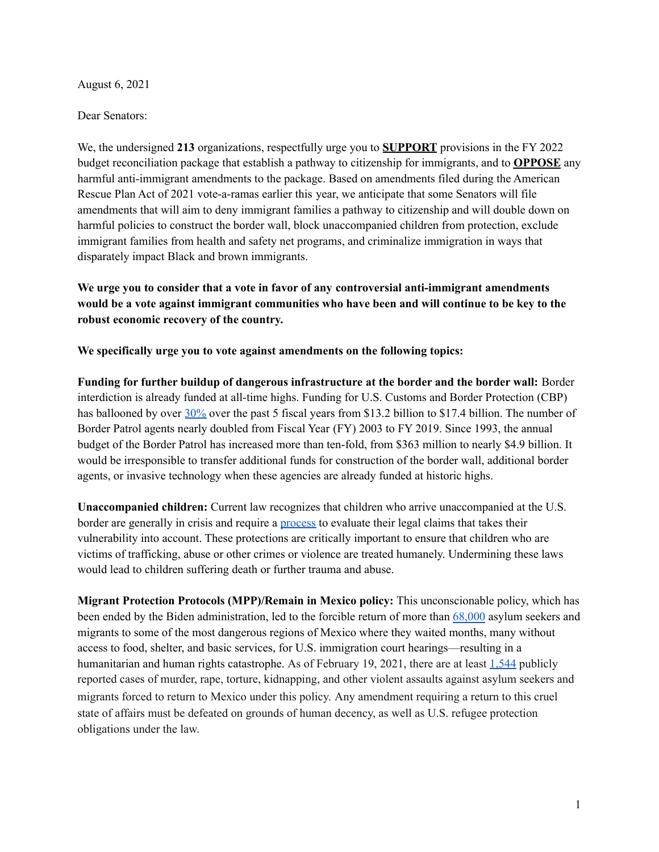August 6, 2021

Dear Senators:

We, the undersigned **213** organizations, respectfully urge you to **SUPPORT** provisions in the FY 2022 budget reconciliation package that establish a pathway to citizenship for immigrants, and to **OPPOSE** any harmful anti-immigrant amendments to the package. Based on amendments filed during the American Rescue Plan Act of 2021 vote-a-ramas earlier this year, we anticipate that some Senators will file amendments that will aim to deny immigrant families a pathway to citizenship and will double down on harmful policies to construct the border wall, block unaccompanied children from protection, exclude immigrant families from health and safety net programs, and criminalize immigration in ways that disparately impact Black and brown immigrants.

**We urge you to consider that a vote in favor of any controversial anti-immigrant amendments would be a vote against immigrant communities who have been and will continue to be key to the robust economic recovery of the country.**

**We specifically urge you to vote against amendments on the following topics:**

**Funding for further buildup of dangerous infrastructure at the border and the border wall:** Border interdiction is already funded at all-time highs. Funding for U.S. Customs and Border Protection (CBP) has ballooned by over  $30\%$  over the past 5 fiscal years from \$13.2 billion to \$17.4 billion. The number of Border Patrol agents nearly doubled from Fiscal Year (FY) 2003 to FY 2019. Since 1993, the annual budget of the Border Patrol has increased more than ten-fold, from \$363 million to nearly \$4.9 billion. It would be irresponsible to transfer additional funds for construction of the border wall, additional border agents, or invasive technology when these agencies are already funded at historic highs.

**Unaccompanied children:** Current law recognizes that children who arrive unaccompanied at the U.S. border are generally in crisis and require a [process](https://immigrationforum.org/article/fact-sheet-unaccompanied-migrant-children-uacs/) to evaluate their legal claims that takes their vulnerability into account. These protections are critically important to ensure that children who are victims of trafficking, abuse or other crimes or violence are treated humanely. Undermining these laws would lead to children suffering death or further trauma and abuse.

**Migrant Protection Protocols (MPP)/Remain in Mexico policy:** This unconscionable policy, which has been ended by the Biden administration, led to the forcible return of more than [68,000](https://trac.syr.edu/phptools/immigration/mpp/) asylum seekers and migrants to some of the most dangerous regions of Mexico where they waited months, many without access to food, shelter, and basic services, for U.S. immigration court hearings—resulting in a humanitarian and human rights catastrophe. As of February 19, 2021, there are at least [1,544](https://www.humanrightsfirst.org/campaign/remain-mexico) publicly reported cases of murder, rape, torture, kidnapping, and other violent assaults against asylum seekers and migrants forced to return to Mexico under this policy. Any amendment requiring a return to this cruel state of affairs must be defeated on grounds of human decency, as well as U.S. refugee protection obligations under the law.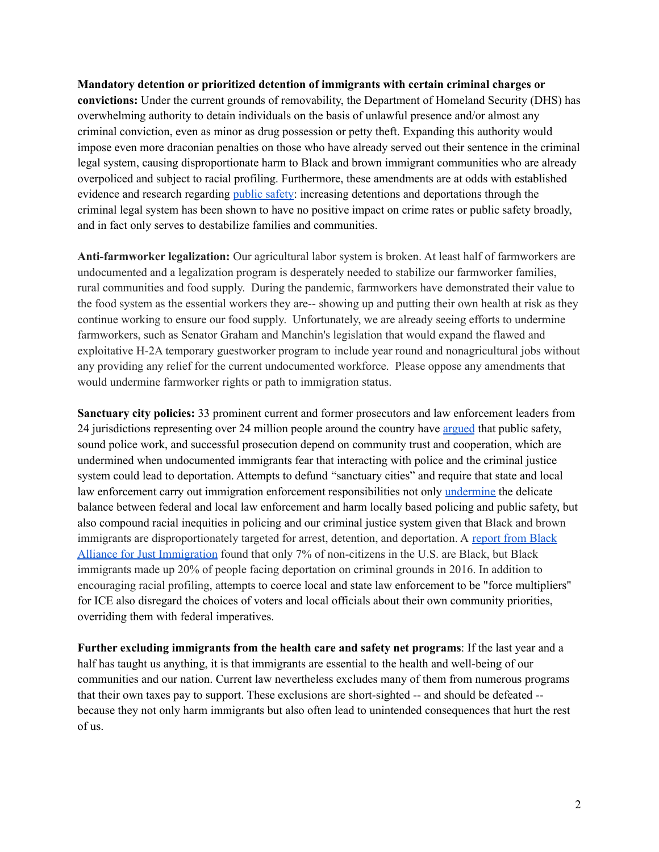**Mandatory detention or prioritized detention of immigrants with certain criminal charges or convictions:** Under the current grounds of removability, the Department of Homeland Security (DHS) has overwhelming authority to detain individuals on the basis of unlawful presence and/or almost any criminal conviction, even as minor as drug possession or petty theft. Expanding this authority would impose even more draconian penalties on those who have already served out their sentence in the criminal legal system, causing disproportionate harm to Black and brown immigrant communities who are already overpoliced and subject to racial profiling. Furthermore, these amendments are at odds with established evidence and research regarding [public](https://www.themarshallproject.org/2019/09/23/do-deportations-lower-crime-not-according-to-the-data) safety: increasing detentions and deportations through the criminal legal system has been shown to have no positive impact on crime rates or public safety broadly, and in fact only serves to destabilize families and communities.

**Anti-farmworker legalization:** Our agricultural labor system is broken. At least half of farmworkers are undocumented and a legalization program is desperately needed to stabilize our farmworker families, rural communities and food supply. During the pandemic, farmworkers have demonstrated their value to the food system as the essential workers they are-- showing up and putting their own health at risk as they continue working to ensure our food supply. Unfortunately, we are already seeing efforts to undermine farmworkers, such as Senator Graham and Manchin's legislation that would expand the flawed and exploitative H-2A temporary guestworker program to include year round and nonagricultural jobs without any providing any relief for the current undocumented workforce. Please oppose any amendments that would undermine farmworker rights or path to immigration status.

**Sanctuary city policies:** 33 prominent current and former prosecutors and law enforcement leaders from 24 jurisdictions representing over 24 million people around the country have [argued](https://www.law.georgetown.edu/news/prosecutors-police-warn-dojs-anti-sanctuary-cities-stance-endangers-public-safety/) that public safety, sound police work, and successful prosecution depend on community trust and cooperation, which are undermined when undocumented immigrants fear that interacting with police and the criminal justice system could lead to deportation. Attempts to defund "sanctuary cities" and require that state and local law enforcement carry out immigration enforcement responsibilities not only [undermine](https://leitf.org/2018/02/nearly-50-law-enforcement-leaders-send-letter-senate-proposals-related-sanctuary-cities/) the delicate balance between federal and local law enforcement and harm locally based policing and public safety, but also compound racial inequities in policing and our criminal justice system given that Black and brown immigrants are disproportionately targeted for arrest, detention, and deportation. A [report](http://baji.org/wp-content/uploads/2020/03/sobi-fullreport-jan22.pdf) from Black Alliance for Just [Immigration](http://baji.org/wp-content/uploads/2020/03/sobi-fullreport-jan22.pdf) found that only 7% of non-citizens in the U.S. are Black, but Black immigrants made up 20% of people facing deportation on criminal grounds in 2016. In addition to encouraging racial profiling, attempts to coerce local and state law enforcement to be "force multipliers" for ICE also disregard the choices of voters and local officials about their own community priorities, overriding them with federal imperatives.

**Further excluding immigrants from the health care and safety net programs**: If the last year and a half has taught us anything, it is that immigrants are essential to the health and well-being of our communities and our nation. Current law nevertheless excludes many of them from numerous programs that their own taxes pay to support. These exclusions are short-sighted -- and should be defeated - because they not only harm immigrants but also often lead to unintended consequences that hurt the rest of us.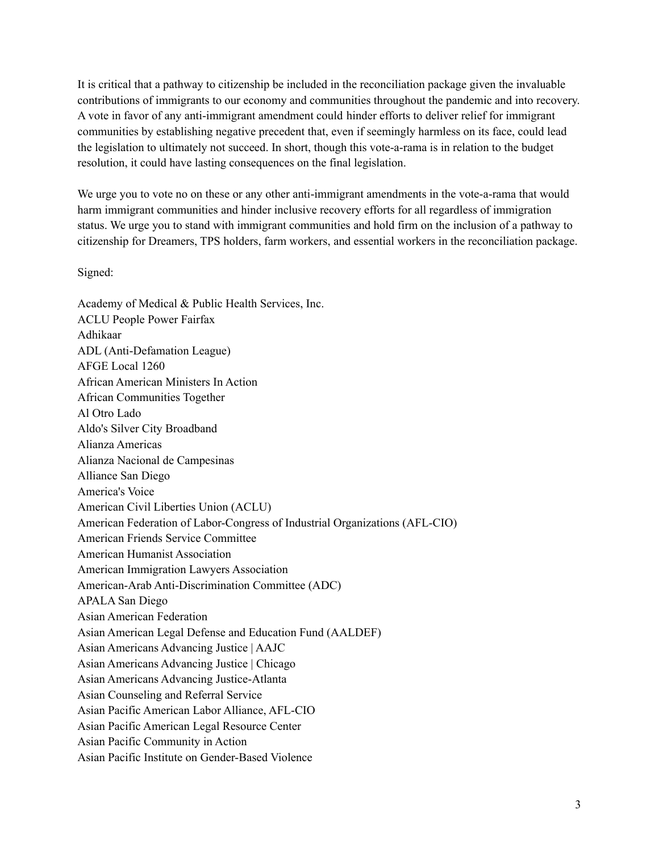It is critical that a pathway to citizenship be included in the reconciliation package given the invaluable contributions of immigrants to our economy and communities throughout the pandemic and into recovery. A vote in favor of any anti-immigrant amendment could hinder efforts to deliver relief for immigrant communities by establishing negative precedent that, even if seemingly harmless on its face, could lead the legislation to ultimately not succeed. In short, though this vote-a-rama is in relation to the budget resolution, it could have lasting consequences on the final legislation.

We urge you to vote no on these or any other anti-immigrant amendments in the vote-a-rama that would harm immigrant communities and hinder inclusive recovery efforts for all regardless of immigration status. We urge you to stand with immigrant communities and hold firm on the inclusion of a pathway to citizenship for Dreamers, TPS holders, farm workers, and essential workers in the reconciliation package.

Signed:

Academy of Medical & Public Health Services, Inc. ACLU People Power Fairfax Adhikaar ADL (Anti-Defamation League) AFGE Local 1260 African American Ministers In Action African Communities Together Al Otro Lado Aldo's Silver City Broadband Alianza Americas Alianza Nacional de Campesinas Alliance San Diego America's Voice American Civil Liberties Union (ACLU) American Federation of Labor-Congress of Industrial Organizations (AFL-CIO) American Friends Service Committee American Humanist Association American Immigration Lawyers Association American-Arab Anti-Discrimination Committee (ADC) APALA San Diego Asian American Federation Asian American Legal Defense and Education Fund (AALDEF) Asian Americans Advancing Justice | AAJC Asian Americans Advancing Justice | Chicago Asian Americans Advancing Justice-Atlanta Asian Counseling and Referral Service Asian Pacific American Labor Alliance, AFL-CIO Asian Pacific American Legal Resource Center Asian Pacific Community in Action Asian Pacific Institute on Gender-Based Violence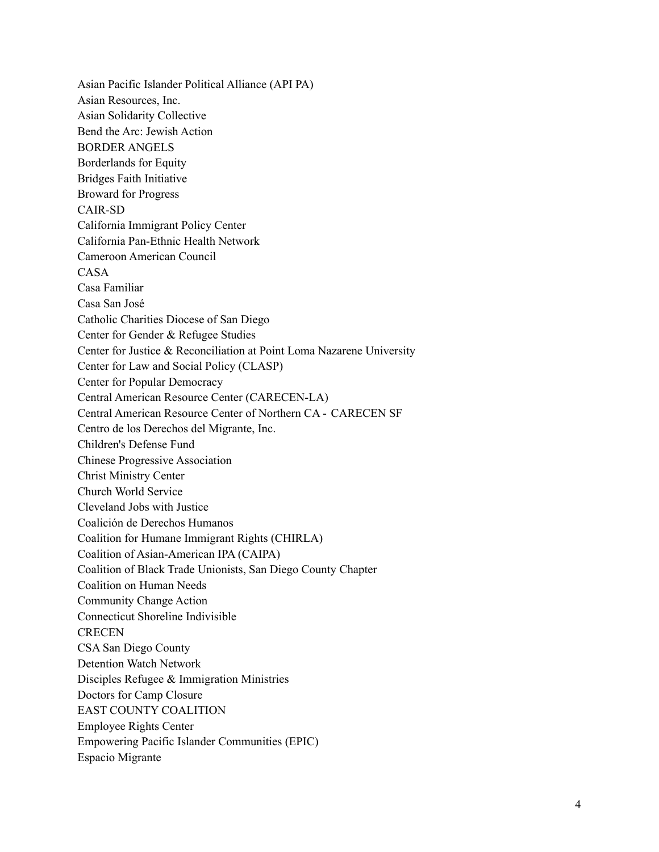Asian Pacific Islander Political Alliance (API PA) Asian Resources, Inc. Asian Solidarity Collective Bend the Arc: Jewish Action BORDER ANGELS Borderlands for Equity Bridges Faith Initiative Broward for Progress CAIR-SD California Immigrant Policy Center California Pan-Ethnic Health Network Cameroon American Council CASA Casa Familiar Casa San José Catholic Charities Diocese of San Diego Center for Gender & Refugee Studies Center for Justice & Reconciliation at Point Loma Nazarene University Center for Law and Social Policy (CLASP) Center for Popular Democracy Central American Resource Center (CARECEN-LA) Central American Resource Center of Northern CA - CARECEN SF Centro de los Derechos del Migrante, Inc. Children's Defense Fund Chinese Progressive Association Christ Ministry Center Church World Service Cleveland Jobs with Justice Coalición de Derechos Humanos Coalition for Humane Immigrant Rights (CHIRLA) Coalition of Asian-American IPA (CAIPA) Coalition of Black Trade Unionists, San Diego County Chapter Coalition on Human Needs Community Change Action Connecticut Shoreline Indivisible **CRECEN** CSA San Diego County Detention Watch Network Disciples Refugee & Immigration Ministries Doctors for Camp Closure EAST COUNTY COALITION Employee Rights Center Empowering Pacific Islander Communities (EPIC) Espacio Migrante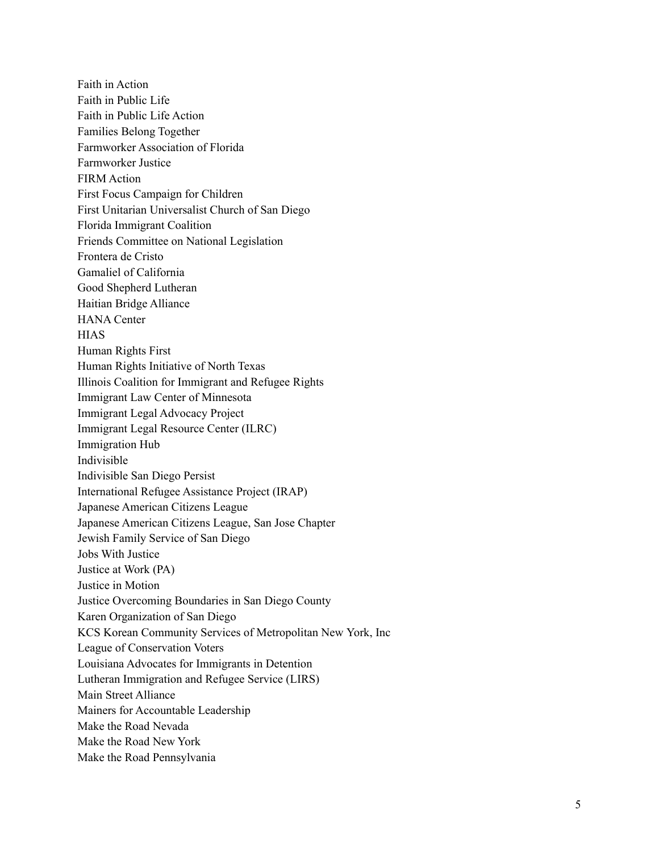Faith in Action Faith in Public Life Faith in Public Life Action Families Belong Together Farmworker Association of Florida Farmworker Justice FIRM Action First Focus Campaign for Children First Unitarian Universalist Church of San Diego Florida Immigrant Coalition Friends Committee on National Legislation Frontera de Cristo Gamaliel of California Good Shepherd Lutheran Haitian Bridge Alliance HANA Center H I A S Human Rights First Human Rights Initiative of North Texas Illinois Coalition for Immigrant and Refugee Rights Immigrant Law Center of Minnesota Immigrant Legal Advocacy Project Immigrant Legal Resource Center (ILRC) Immigration Hub Indivisible Indivisible San Diego Persist International Refugee Assistance Project (IRAP) Japanese American Citizens League Japanese American Citizens League, San Jose Chapter Jewish Family Service of San Diego Jobs With Justice Justice at Work (PA) Justice in Motion Justice Overcoming Boundaries in San Diego County Karen Organization of San Diego KCS Korean Community Services of Metropolitan New York, Inc League of Conservation Voters Louisiana Advocates for Immigrants in Detention Lutheran Immigration and Refugee Service (LIRS) Main Street Alliance Mainers for Accountable Leadership Make the Road Nevada Make the Road New York Make the Road Pennsylvania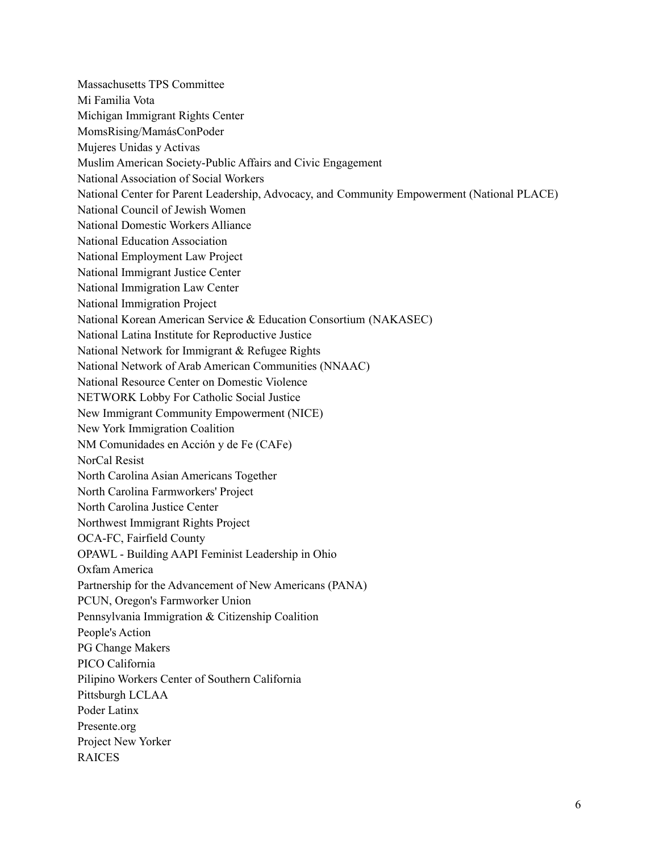Massachusetts TPS Committee Mi Familia Vota Michigan Immigrant Rights Center MomsRising/MamásConPoder Mujeres Unidas y Activas Muslim American Society-Public Affairs and Civic Engagement National Association of Social Workers National Center for Parent Leadership, Advocacy, and Community Empowerment (National PLACE) National Council of Jewish Women National Domestic Workers Alliance National Education Association National Employment Law Project National Immigrant Justice Center National Immigration Law Center National Immigration Project National Korean American Service & Education Consortium (NAKASEC) National Latina Institute for Reproductive Justice National Network for Immigrant & Refugee Rights National Network of Arab American Communities (NNAAC) National Resource Center on Domestic Violence NETWORK Lobby For Catholic Social Justice New Immigrant Community Empowerment (NICE) New York Immigration Coalition NM Comunidades en Acción y de Fe (CAFe) NorCal Resist North Carolina Asian Americans Together North Carolina Farmworkers' Project North Carolina Justice Center Northwest Immigrant Rights Project OCA-FC, Fairfield County OPAWL - Building AAPI Feminist Leadership in Ohio Oxfam America Partnership for the Advancement of New Americans (PANA) PCUN, Oregon's Farmworker Union Pennsylvania Immigration & Citizenship Coalition People's Action PG Change Makers PICO California Pilipino Workers Center of Southern California Pittsburgh LCLAA Poder Latinx Presente.org Project New Yorker RAICES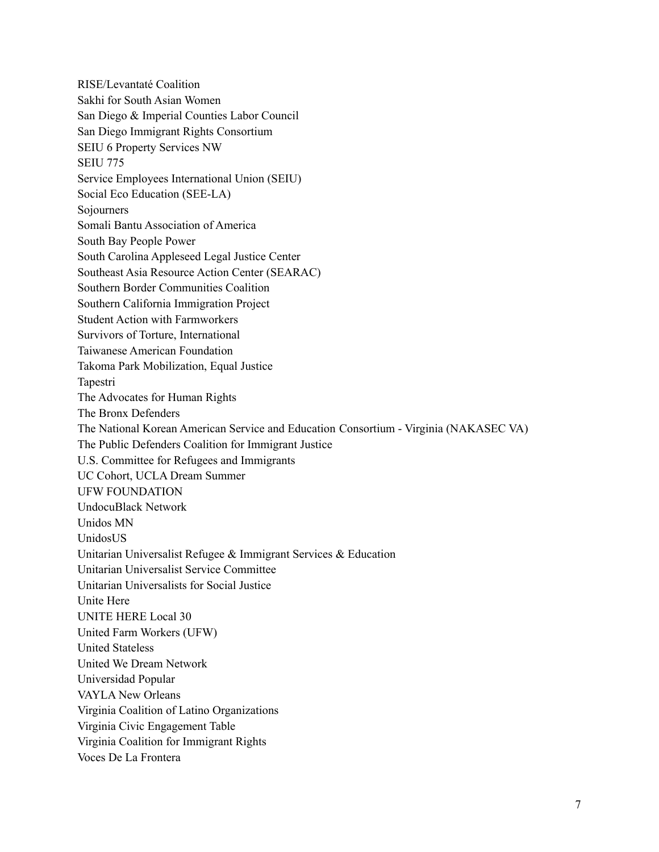RISE/Levantaté Coalition Sakhi for South Asian Women San Diego & Imperial Counties Labor Council San Diego Immigrant Rights Consortium SEIU 6 Property Services NW SEIU 775 Service Employees International Union (SEIU) Social Eco Education (SEE-LA) Sojourners Somali Bantu Association of America South Bay People Power South Carolina Appleseed Legal Justice Center Southeast Asia Resource Action Center (SEARAC) Southern Border Communities Coalition Southern California Immigration Project Student Action with Farmworkers Survivors of Torture, International Taiwanese American Foundation Takoma Park Mobilization, Equal Justice Tapestri The Advocates for Human Rights The Bronx Defenders The National Korean American Service and Education Consortium - Virginia (NAKASEC VA) The Public Defenders Coalition for Immigrant Justice U.S. Committee for Refugees and Immigrants UC Cohort, UCLA Dream Summer UFW FOUNDATION UndocuBlack Network Unidos MN UnidosUS Unitarian Universalist Refugee & Immigrant Services & Education Unitarian Universalist Service Committee Unitarian Universalists for Social Justice Unite Here UNITE HERE Local 30 United Farm Workers (UFW) United Stateless United We Dream Network Universidad Popular VAYLA New Orleans Virginia Coalition of Latino Organizations Virginia Civic Engagement Table Virginia Coalition for Immigrant Rights Voces De La Frontera